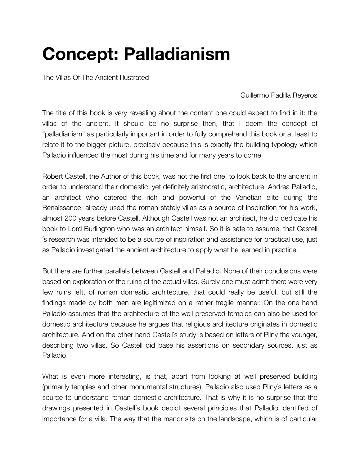## **Concept: Palladianism**

The Villas Of The Ancient Illustrated

Guillermo Padilla Reyeros

The title of this book is very revealing about the content one could expect to find in it: the villas of the ancient. It should be no surprise then, that I deem the concept of "palladianism" as particularly important in order to fully comprehend this book or at least to relate it to the bigger picture, precisely because this is exactly the building typology which Palladio influenced the most during his time and for many years to come.

Robert Castell, the Author of this book, was not the first one, to look back to the ancient in order to understand their domestic, yet definitely aristocratic, architecture. Andrea Palladio, an architect who catered the rich and powerful of the Venetian elite during the Renaissance, already used the roman stately villas as a source of inspiration for his work, almost 200 years before Castell. Although Castell was not an architect, he did dedicate his book to Lord Burlington who was an architect himself. So it is safe to assume, that Castell ´s research was intended to be a source of inspiration and assistance for practical use, just as Palladio investigated the ancient architecture to apply what he learned in practice.

But there are further parallels between Castell and Palladio. None of their conclusions were based on exploration of the ruins of the actual villas. Surely one must admit there were very few ruins left, of roman domestic architecture, that could really be useful, but still the findings made by both men are legitimized on a rather fragile manner. On the one hand Palladio assumes that the architecture of the well preserved temples can also be used for domestic architecture because he argues that religious architecture originates in domestic architecture. And on the other hand Castell´s study is based on letters of Pliny the younger, describing two villas. So Castell did base his assertions on secondary sources, just as Palladio.

What is even more interesting, is that, apart from looking at well preserved building (primarily temples and other monumental structures), Palladio also used Pliny´s letters as a source to understand roman domestic architecture. That is why it is no surprise that the drawings presented in Castell´s book depict several principles that Palladio identified of importance for a villa. The way that the manor sits on the landscape, which is of particular